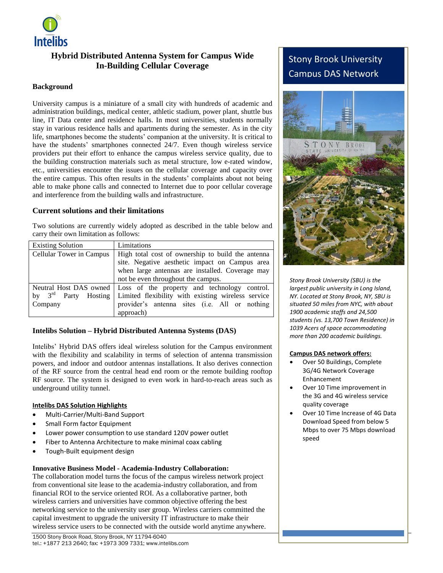

## **Hybrid Distributed Antenna System for Campus Wide In-Building Cellular Coverage**

### **Background**

University campus is a miniature of a small city with hundreds of academic and administration buildings, medical center, athletic stadium, power plant, shuttle bus line, IT Data center and residence halls. In most universities, students normally stay in various residence halls and apartments during the semester. As in the city life, smartphones become the students' companion at the university. It is critical to have the students' smartphones connected 24/7. Even though wireless service providers put their effort to enhance the campus wireless service quality, due to the building construction materials such as metal structure, low e-rated window, etc., universities encounter the issues on the cellular coverage and capacity over the entire campus. This often results in the students' complaints about not being able to make phone calls and connected to Internet due to poor cellular coverage and interference from the building walls and infrastructure.

## **Current solutions and their limitations**

Two solutions are currently widely adopted as described in the table below and carry their own limitation as follows:

| <b>Existing Solution</b>            | Limitations                                                                                                                                                                            |
|-------------------------------------|----------------------------------------------------------------------------------------------------------------------------------------------------------------------------------------|
| Cellular Tower in Campus            | High total cost of ownership to build the antenna<br>site. Negative aesthetic impact on Campus area<br>when large antennas are installed. Coverage may                                 |
|                                     | not be even throughout the campus.                                                                                                                                                     |
| by $3^{\text{rd}}$ Party<br>Company | Neutral Host DAS owned   Loss of the property and technology control.<br>Hosting   Limited flexibility with existing wireless service<br>provider's antenna sites (i.e. All or nothing |
|                                     | approach)                                                                                                                                                                              |

## **Intelibs Solution – Hybrid Distributed Antenna Systems (DAS)**

Intelibs' Hybrid DAS offers ideal wireless solution for the Campus environment with the flexibility and scalability in terms of selection of antenna transmission powers, and indoor and outdoor antennas installations. It also derives connection of the RF source from the central head end room or the remote building rooftop RF source. The system is designed to even work in hard-to-reach areas such as underground utility tunnel.

### **Intelibs DAS Solution Highlights**

- Multi-Carrier/Multi-Band Support
- Small Form factor Equipment
- Lower power consumption to use standard 120V power outlet
- Fiber to Antenna Architecture to make minimal coax cabling
- Tough-Built equipment design

### **Innovative Business Model - Academia-Industry Collaboration:**

The collaboration model turns the focus of the campus wireless network project from conventional site lease to the academia-industry collaboration, and from financial ROI to the service oriented ROI. As a collaborative partner, both wireless carriers and universities have common objective offering the best networking service to the university user group. Wireless carriers committed the capital investment to upgrade the university IT infrastructure to make their wireless service users to be connected with the outside world anytime anywhere.

# Stony Brook University Campus DAS Network



*Stony Brook University (SBU) is the largest public university in Long Island, NY. Located at Stony Brook, NY, SBU is situated 50 miles from NYC, with about 1900 academic staffs and 24,500 students (vs. 13,700 Town Residence) in 1039 Acers of space accommodating more than 200 academic buildings.*

### **Campus DAS network offers:**

- Over 50 Buildings, Complete 3G/4G Network Coverage Enhancement
- Over 10 Time improvement in the 3G and 4G wireless service quality coverage
- Over 10 Time Increase of 4G Data Download Speed from below 5 Mbps to over 75 Mbps download speed